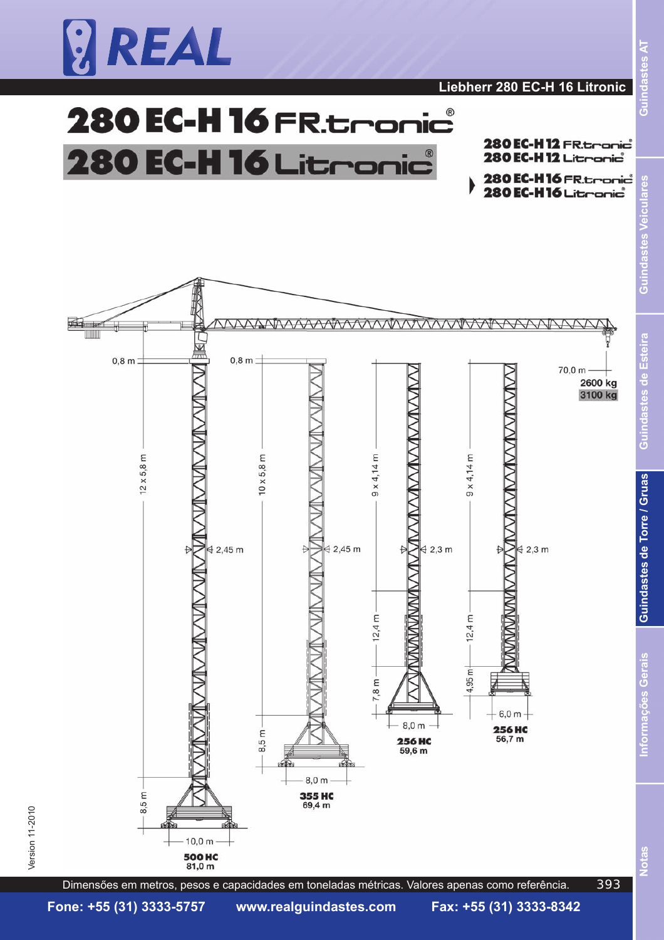

### 280 EC-H 16 FR. tronic  $^{\circledR}$ **280 EC-H 16 Litror** nic

280 EC-H12 FR. tranic 280 EC-H 12 Literapic

 $R$ sel

indast

ر<br>ق

3

Po ā

Esteira

astes de

Ë 5

Guindastes de Torre / Gruas





Dimensőes em metros, pesos e capacidades em toneladas métricas. Valores apenas como referência.

**Notas Informaç**

Iotas

nformações Gerais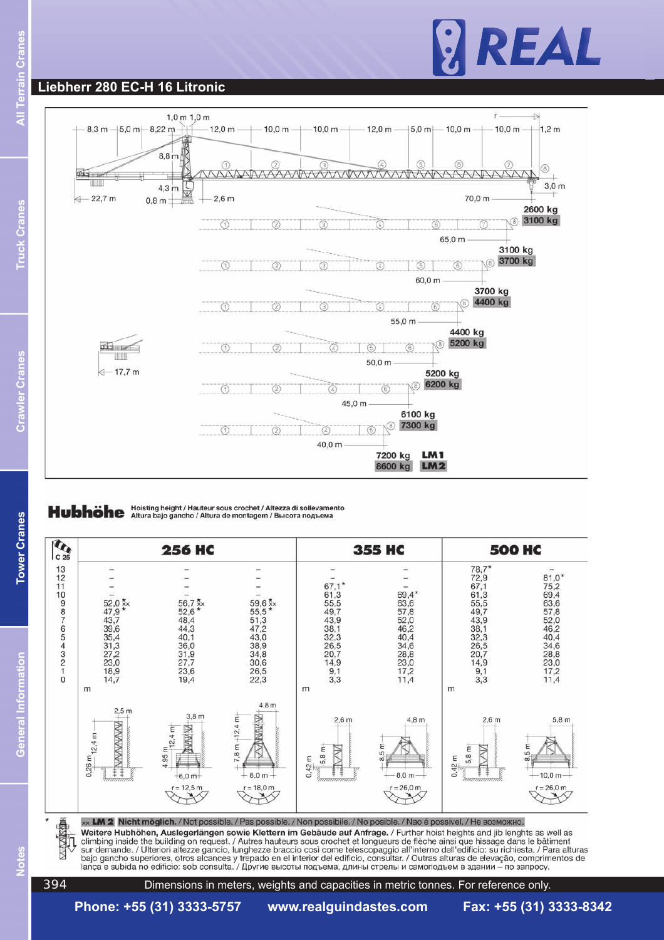#### **Liebherr 280 EC-H 16 Litronic**



### Hubhöhe Hoisting height / Hauteur sous crochet / Altezza di sollevamento



Weitere Hubhöhen, Auslegerlängen sowie Klettern im Gebäude auf Anfrage. / Further hoist heights and jib lenghts as well as climbing inside the building on request. / Autres hauteurs sous crochet et longueurs de flèche ainsi que hissage dans le bâtiment<br>sur demande. / Ulteriori altezze gancio, lunghezze braccio così come telescopaggio all'inter bajo gancho superiores, otros alcances y trepado en el interior del edificio, consultar. / Outras alturas de elevação, comprimentos de<br>lança e subida no edificio: sob consulta. / Другие высоты подъема, длины стрелы и само

Votes

**Notes General Information Tower Cranes Crawler Cranes Truck Cranes All Terrain Cranes**

**Tower Cranes** 

**General Information** 

Crawl

ler Cranes

Ē

**ruck Cranes** 

Dimensions in meters, weights and capacities in metric tonnes. For reference only.

**Phone: +55 (31) 3333-5757 www.realguindastes.com Fax: +55 (31) 3333-8342**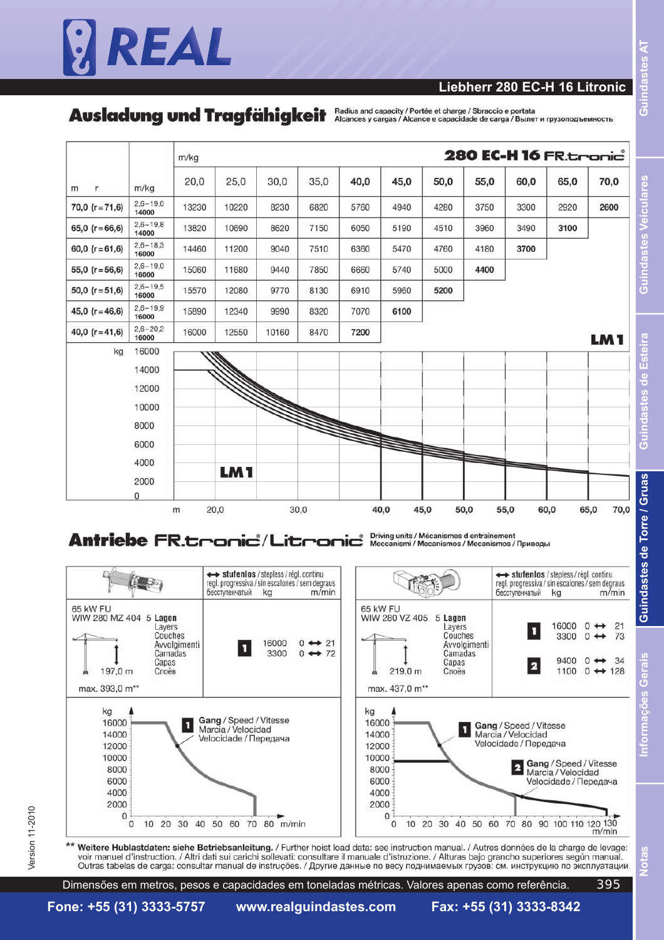#### **Liebherr 280 EC-H 16 Litronic**

Ausladung und Tragfähigkeit Addius and capacity / Portée et charge / Sbraccio e portata



#### Driving units / Mécanismes d entraînement<br>Meccanismi / Mecanismos / Mecanismos / Приводы **Antriebe FR.tronic / Litronic**



voir manuel d'instruction. / Altri dati sui carichi sollevati: consultare il manuale d'istruzione. / Alturas baio grancho superiores según manual. Outras tabelas de carga: consultar manual de instruções. / Другие данные по весу поднимаемых грузов: см. инструкцию по эксплуатации.

Dimensőes em metros, pesos e capacidades em toneladas métricas. Valores apenas como referência. 395 9

Ę

Esteira

Ë

 $\vec{5}$ 

**Notas Informaç**

**lotas** 

Version 11-2010  $\,$ 

Version 11-2010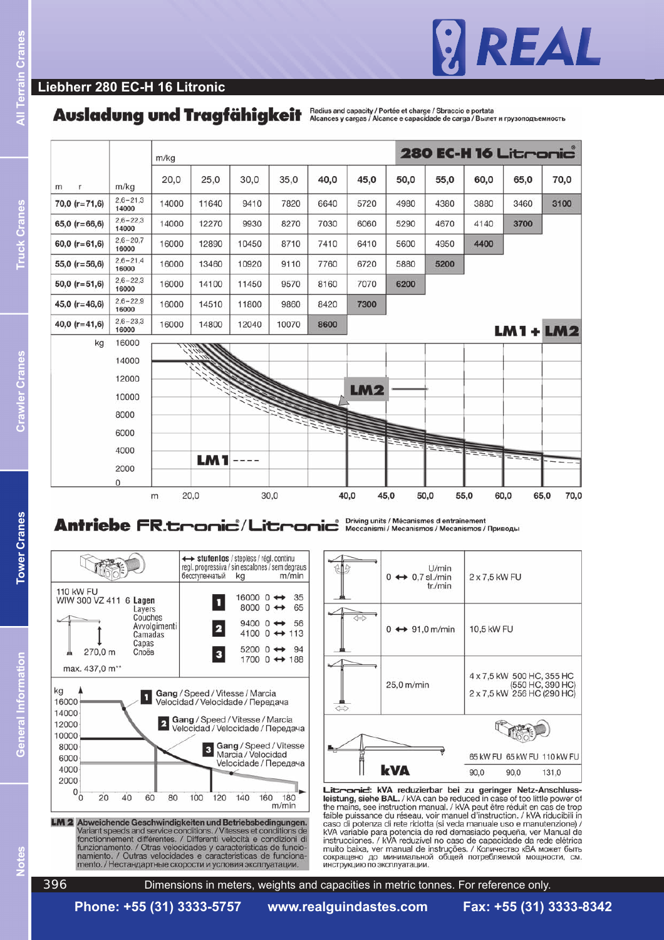

#### **Liebherr 280 EC-H 16 Litronic**

# Ausladung und Tragfähigkeit Alcances y cargas / Alcance e capacity / Portée et charge / Sbraccio e portata



# Antriebe FR.tronic<sup>\*</sup>/Litronic<sup>\*</sup> Necanismi/Mécanismes d'entraînement



mento. / Нестандартные скорости и условия эксплуатации.

|                   | U/min<br>$0 \leftrightarrow 0.7$ sl./min<br>tr./min | $2 \times 7,5$ kW FU |                           |                                                |
|-------------------|-----------------------------------------------------|----------------------|---------------------------|------------------------------------------------|
|                   | $\leftrightarrow$ 91,0 m/min<br>0                   | 10,5 kW FU           |                           |                                                |
| $\Leftrightarrow$ | 25,0 m/min                                          |                      | 4 x 7,5 kW 500 HC, 355 HC | (550 HC, 390 HC)<br>2 x 7,5 kW 256 HC (290 HC) |
|                   |                                                     |                      |                           | 65 kW FU 65 kW FU 110 kW FU                    |
|                   | <b>kVA</b>                                          | 90,0                 | 90,0                      | 131,0                                          |

Littrarid: kVA reduzierbar bei zu geringer Netz-Anschluss-Leistung, siehe BAL. / kVA can be reduced in case of too little power of<br>the mains, see instruction manual. / kVA peut être réduit en cas de trop<br>faible puissance du réseau, voir manuel d'instruction. / kVA riducibili in<br>c kVA variable para potencia de red demasiado pequeña, ver Manual de<br>instrucciones. / kVA reduzível no caso de capacidade da rede elétrica muito baixa, ver manual de instruções. / Количество кВА может быть сокращено до минимальной общей потребляемой мощности, см. инструкцию по эксплуатации.

Dimensions in meters, weights and capacities in metric tonnes. For reference only.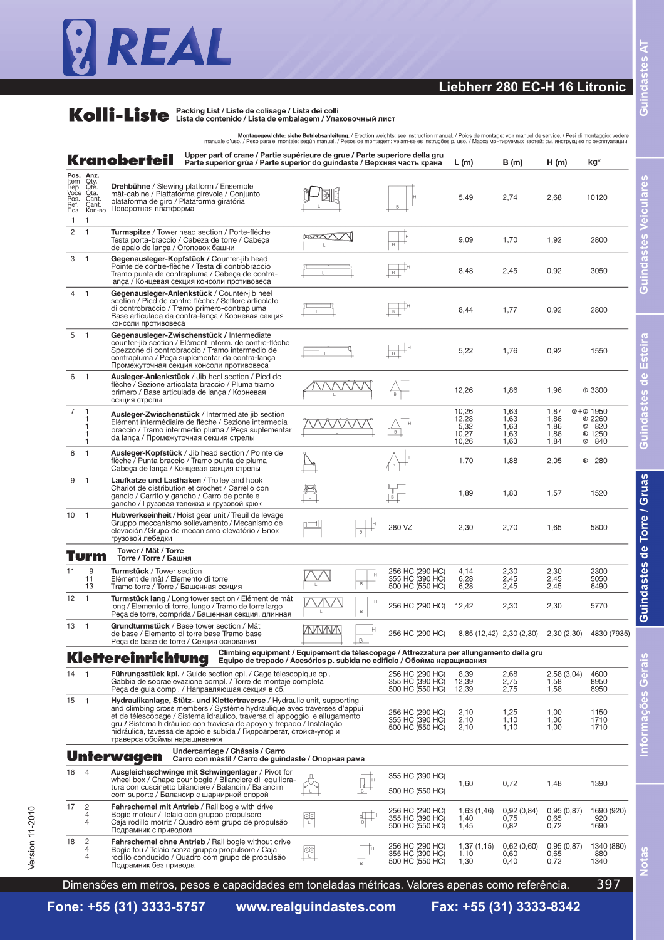### **Liebherr 280 EC-H 16 Litronic**

# **Kolli-Liste** Packing List / Liste de colisage / Lista dei colli<br>
Lista de contenido / Lista de embalagem / Упаковочный лист

|                                             |                                                               | manuale d'uso. / Peso para el montaje: según manual. / Pesos de montagem: vejam-se es instruções p. uso. / Масса монтируемых частей: см. инструкцию по эксплуатации.                                                                                                                                                                                                                                            |              |                | Montagegewichte: siehe Betriebsanleitung. / Erection weights: see instruction manual. / Poids de montage: voir manuel de service. / Pesi di montaggio: vedere |                                          |                                      |                                           |                                                              |
|---------------------------------------------|---------------------------------------------------------------|-----------------------------------------------------------------------------------------------------------------------------------------------------------------------------------------------------------------------------------------------------------------------------------------------------------------------------------------------------------------------------------------------------------------|--------------|----------------|---------------------------------------------------------------------------------------------------------------------------------------------------------------|------------------------------------------|--------------------------------------|-------------------------------------------|--------------------------------------------------------------|
|                                             |                                                               | Upper part of crane / Partie supérieure de grue / Parte superiore della gru<br><b>Kranoberteil</b><br>Parte superior grúa / Parte superior do guindaste / Верхняя часть крана                                                                                                                                                                                                                                   |              |                |                                                                                                                                                               | L(m)                                     | B (m)                                | H(m)                                      | kg*                                                          |
| Item<br>Rep<br>Voce<br>Pos.<br>Ref.<br>Поз. | Pos. Anz.<br>Qty.<br>Qte.<br>Qta.<br>Cant.<br>Cant.<br>Кол-во | <b>Drehbühne</b> / Slewing platform / Ensemble<br>mât-cabine / Piattaforma girevole / Conjunto<br>plataforma de giro / Plataforma giratória<br>Поворотная платформа                                                                                                                                                                                                                                             |              |                |                                                                                                                                                               | 5,49                                     | 2,74                                 | 2,68                                      | 10120                                                        |
| $\overline{c}$                              | 1                                                             | Turmspitze / Tower head section / Porte-fléche<br>Testa porta-braccio / Cabeza de torre / Cabeça<br>de apaio de lança / Оголовок башни                                                                                                                                                                                                                                                                          | $\mathbb{R}$ |                | B                                                                                                                                                             | 9,09                                     | 1,70                                 | 1,92                                      | 2800                                                         |
| 3                                           | $\mathbf{1}$                                                  | Gegenausleger-Kopfstück / Counter-jib head<br>Pointe de contre-flèche / Testa di controbraccio<br>Tramo punta de contrapluma / Cabeça de contra-<br>lança / Концевая секция консоли противовеса                                                                                                                                                                                                                 |              |                | B                                                                                                                                                             | 8,48                                     | 2,45                                 | 0,92                                      | 3050                                                         |
| 4                                           | $\overline{1}$                                                | Gegenausleger-Anlenkstück / Counter-jib heel<br>section / Pied de contre-flèche / Settore articolato<br>di controbraccio / Tramo primero-contrapluma<br>Base articulada da contra-lança / Корневая секция<br>консоли противовеса                                                                                                                                                                                |              |                |                                                                                                                                                               | 8,44                                     | 1,77                                 | 0,92                                      | 2800                                                         |
| 5                                           | $\overline{1}$                                                | Gegenausleger-Zwischenstück / Intermediate<br>counter-jib section / Elément interm. de contre-flèche<br>Spezzone di controbraccio / Tramo intermedio de<br>contrapluma / Peça suplementar da contra-lança<br>Промежуточная секция консоли противовеса                                                                                                                                                           |              |                |                                                                                                                                                               | 5,22                                     | 1,76                                 | 0,92                                      | 1550                                                         |
| 6                                           | $\overline{\phantom{0}}$                                      | Ausleger-Anlenkstück / Jib heel section / Pied de<br>flèche / Sezione articolata braccio / Pluma tramo<br>primero / Base articulada de lança / Корневая<br>секция стрелы                                                                                                                                                                                                                                        |              |                |                                                                                                                                                               | 12,26                                    | 1,86                                 | 1,96                                      | @3300                                                        |
| 7                                           |                                                               | Ausleger-Zwischenstück / Intermediate jib section<br>Elément intermédiaire de flèche / Sezione intermedia<br>braccio / Tramo intermedio pluma / Peça suplementar<br>da lança / Промежуточная секция стрелы                                                                                                                                                                                                      |              |                |                                                                                                                                                               | 10,26<br>12,28<br>5,32<br>10,27<br>10,26 | 1.63<br>1,63<br>1,63<br>1,63<br>1,63 | 1,87<br>1,86<br>1,86<br>1,86<br>1,84<br>℗ | $@+@$ 1950<br>@ 2260<br><b>6 820</b><br><b>6 1250</b><br>840 |
| 8                                           | 1                                                             | Ausleger-Kopfstück / Jib head section / Pointe de<br>flèche / Punta braccio / Tramo punta de pluma<br>Cabeça de lança / Концевая секция стрелы                                                                                                                                                                                                                                                                  |              |                |                                                                                                                                                               | 1,70                                     | 1,88                                 | 2,05                                      | <b>8 280</b>                                                 |
| 9                                           | $\overline{1}$                                                | Laufkatze und Lasthaken / Trolley and hook<br>Chariot de distribution et crochet / Carrello con<br>gancio / Carrito y gancho / Carro de ponte e<br>gancho / Грузовая тележка и грузовой крюк                                                                                                                                                                                                                    |              |                |                                                                                                                                                               | 1,89                                     | 1,83                                 | 1,57                                      | 1520                                                         |
| 10                                          | -1                                                            | Hubwerkseinheit / Hoist gear unit / Treuil de levage<br>Gruppo meccanismo sollevamento / Mecanismo de<br>elevación / Grupo de mecanismo elevatório / Блок<br>грузовой лебедки                                                                                                                                                                                                                                   | τ            |                | 280 VZ                                                                                                                                                        | 2,30                                     | 2,70                                 | 1,65                                      | 5800                                                         |
|                                             | Turm                                                          | Tower / Mât / Torre<br>Torre / Torre / Башня                                                                                                                                                                                                                                                                                                                                                                    |              |                |                                                                                                                                                               |                                          |                                      |                                           |                                                              |
| 11                                          | 9<br>11<br>13                                                 | <b>Turmstück</b> / Tower section<br>Elément de mât / Elemento di torre<br>Tramo torre / Torre / Башенная секция                                                                                                                                                                                                                                                                                                 |              | В              | 256 HC (290 HC)<br>355 HC (390 HC)<br>500 HC (550 HC)                                                                                                         | 4,14<br>6,28<br>6,28                     | 2,30<br>2.45<br>2,45                 | 2,30<br>2,45<br>2,45                      | 2300<br>5050<br>6490                                         |
| 12                                          | $\mathbf{1}$                                                  | Turmstück lang / Long tower section / Elément de mât<br>long / Elemento di torre, lungo / Tramo de torre largo<br>Реса de torre, comprida / Башенная секция, длинная                                                                                                                                                                                                                                            |              | <b>B</b>       | 256 HC (290 HC)                                                                                                                                               | 12,42                                    | 2,30                                 | 2,30                                      | 5770                                                         |
| $13 \quad 1$                                |                                                               | Grundturmstück / Base tower section / Mât<br>de base / Elemento di torre base Tramo base<br>Реса de base de torre / Секция основания                                                                                                                                                                                                                                                                            | WWW          | $\overline{B}$ | 256 HC (290 HC)                                                                                                                                               | 8,85 (12,42) 2,30 (2,30)                 |                                      | 2,30(2,30)                                | 4830 (7935)                                                  |
|                                             |                                                               | Climbing equipment / Equipement de télescopage / Attrezzatura per allungamento della gru<br>Klettereinrichtung<br>Equipo de trepado / Acesórios p. subida no edificio / Обойма наращивания                                                                                                                                                                                                                      |              |                |                                                                                                                                                               |                                          |                                      |                                           |                                                              |
| 14                                          | $\overline{\phantom{0}}$                                      | Führungsstück kpl. / Guide section cpl. / Cage télescopique cpl.<br>Gabbia de sopraelevazione compl. / Torre de montaje completa<br>Реса de guia compl. / Направляющая секция в сб.                                                                                                                                                                                                                             |              |                | 256 HC (290 HC)<br>355 HC (390 HC)<br>500 HC (550 HC)                                                                                                         | 8,39<br>12,39<br>12,39                   | 2,68<br>2,75<br>2,75                 | 2,58(3,04)<br>1,58<br>1,58                | 4600<br>8950<br>8950                                         |
| 15                                          | $\overline{1}$                                                | Hydraulikanlage, Stütz- und Klettertraverse / Hydraulic unit, supporting<br>and climbing cross members / Système hydraulique avec traverses d'appui<br>et de télescopage / Sistema idraulico, traversa di appoggio e allugamento<br>gru / Sistema hidráulico con traviesa de apoyo y trepado / Instalação<br>hidráulica, tavessa de apoio e subida / Гидроагрегат, стойка-упор и<br>траверса обоймы наращивания |              |                | 256 HC (290 HC)<br>355 HC (390 HC)<br>500 HC (550 HC)                                                                                                         | 2,10<br>2,10<br>2,10                     | 1,25<br>1,10<br>1,10                 | 1,00<br>1,00<br>1,00                      | 1150<br>1710<br>1710                                         |
|                                             |                                                               | Undercarriage / Châssis / Carro<br>Unterwagen<br>Carro con mástil / Carro de guindaste / Опорная рама                                                                                                                                                                                                                                                                                                           |              |                |                                                                                                                                                               |                                          |                                      |                                           |                                                              |
| 16                                          | $\overline{4}$                                                | Ausgleichsschwinge mit Schwingenlager / Pivot for<br>wheel box / Chape pour bogie / Bilanciere di equilibra-<br>tura con cuscinetto bilanciere / Balancin / Balancim<br>com suporte / Балансир с шарнирной опорой                                                                                                                                                                                               |              |                | 355 HC (390 HC)<br>500 HC (550 HC)                                                                                                                            | 1,60                                     | 0,72                                 | 1,48                                      | 1390                                                         |
| 17                                          | $\overline{c}$<br>4<br>4                                      | Fahrschemel mit Antrieb / Rail bogie with drive<br>Bogie moteur / Telaio con gruppo propulsore<br>Caja rodillo motriz / Quadro sem grupo de propulsão<br>Подрамник с приводом                                                                                                                                                                                                                                   |              |                | 256 HC (290 HC)<br>355 HC (390 HC)<br>500 HC (550 HC)                                                                                                         | 1,63 (1,46)<br>1,40<br>1,45              | 0,92(0,84)<br>0,75<br>0,82           | 0,95(0,87)<br>0.65<br>0,72                | 1690 (920)<br>920<br>1690                                    |
| 18                                          | $\overline{c}$<br>4<br>4                                      | Fahrschemel ohne Antrieb / Rail bogie without drive<br>Bogie fou / Telaio senza gruppo propulsore / Caja<br>rodillo conducido / Quadro com grupo de propulsão<br>Подрамник без привода                                                                                                                                                                                                                          | රැ           |                | 256 HC (290 HC)<br>355 HC (390 HC)<br>500 HC (550 HC)                                                                                                         | 1,37(1,15)<br>1,10<br>1,30               | 0,62(0,60)<br>0,60<br>0,40           | 0,95(0,87)<br>0,65<br>0,72                | 1340 (880)<br>880<br>1340                                    |
|                                             |                                                               | Dimensőes em metros, pesos e capacidades em toneladas métricas. Valores apenas como referência.                                                                                                                                                                                                                                                                                                                 |              |                |                                                                                                                                                               |                                          |                                      |                                           | 397                                                          |

Dimensőes em metros, pesos e capacidades em toneladas métricas. Valores apenas como referência.

Guindastes de Torre / Gruas

**Notas Informaç**

Votas

Guindastes AT **őes Gerais Guindastes de Torre / Gruas Guindastes de Esteira Guindastes Veiculares Guindastes AT**

**Guindastes Veiculares** 

Guindastes de Esteira

**Fone: +55 (31) 3333-5757 www.realguindastes.com Fax: +55 (31) 3333-8342**